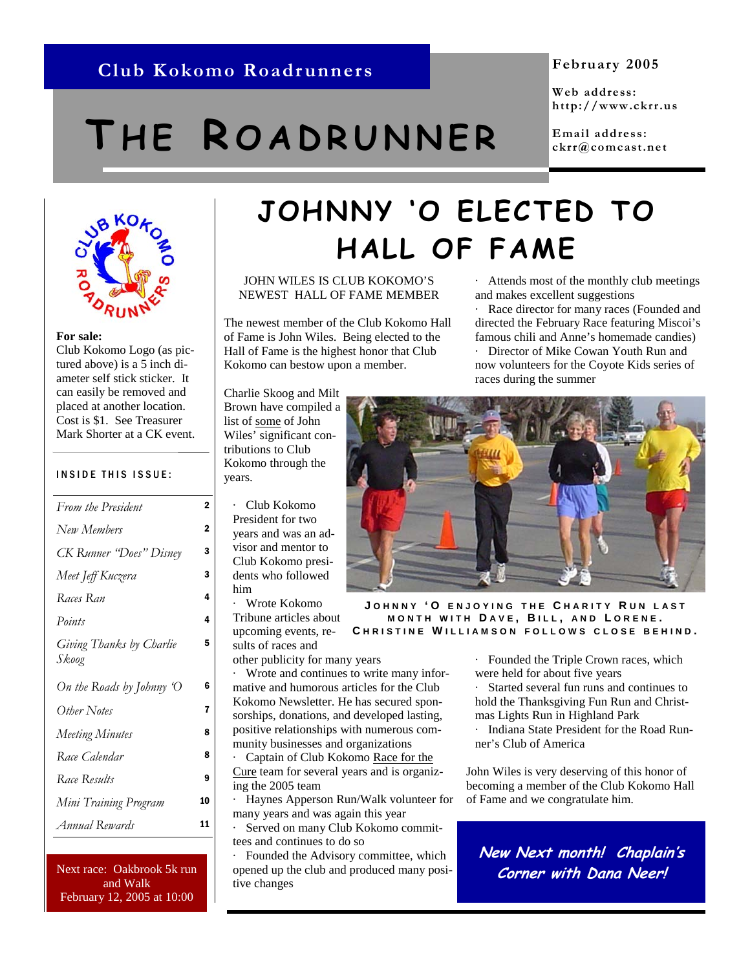## **Club Kokomo Roadrunners February 2005**

# **T H E R OADRUNNER**

**Web address: http://www.ckrr.us** 

**Email address: ckrr@comcast.net** 

· Attends most of the monthly club meetings

Race director for many races (Founded and directed the February Race featuring Miscoi's famous chili and Anne's homemade candies) · Director of Mike Cowan Youth Run and now volunteers for the Coyote Kids series of

and makes excellent suggestions



#### **For sale:**

Club Kokomo Logo (as pictured above) is a 5 inch diameter self stick sticker. It can easily be removed and placed at another location. Cost is \$1. See Treasurer Mark Shorter at a CK event.

#### INSIDE THIS ISSUE:

| From the President                | 2              |
|-----------------------------------|----------------|
| New Members                       | $\overline{2}$ |
| CK Runner "Does" Disney           | 3              |
| Meet Jeff Kuczera                 | 3              |
| Races Ran                         | 4              |
| Points                            | 4              |
| Giving Thanks by Charlie<br>Skoog | 5              |
| On the Roads by Johnny 'O         | 6              |
| Other Notes                       | 7              |
| <b>Meeting Minutes</b>            | 8              |
| Race Calendar                     | 8              |
| Race Results                      | 9              |
| Mini Training Program             | 10             |
| Annual Rewards                    | 11             |

and Walk February 12, 2005 at 10:00

# **JOHNNY 'O ELECTED TO HALL OF FAME**

JOHN WILES IS CLUB KOKOMO'S NEWEST HALL OF FAME MEMBER

The newest member of the Club Kokomo Hall of Fame is John Wiles. Being elected to the Hall of Fame is the highest honor that Club Kokomo can bestow upon a member.

Charlie Skoog and Milt Brown have compiled a list of some of John Wiles' significant contributions to Club Kokomo through the years.

· Club Kokomo President for two years and was an advisor and mentor to Club Kokomo presidents who followed him

· Wrote Kokomo Tribune articles about upcoming events, results of races and other publicity for many years

· Wrote and continues to write many informative and humorous articles for the Club Kokomo Newsletter. He has secured sponsorships, donations, and developed lasting, positive relationships with numerous community businesses and organizations

· Captain of Club Kokomo Race for the Cure team for several years and is organizing the 2005 team

· Haynes Apperson Run/Walk volunteer for many years and was again this year

Served on many Club Kokomo committees and continues to do so

· Founded the Advisory committee, which Next race: Oakbrook 5k run supened up the club and produced many posi-<br> **Corner with Dana Neer!** tive changes



races during the summer

**J OHNNY 'O ENJOYING THE C HARITY R U N LAST MONTH WITH D AVE , B ILL , AND L ORENE . C HRISTINE W ILLIAMSON FOLLOWS CLOSE BEHIND .** 

> · Founded the Triple Crown races, which were held for about five years

Started several fun runs and continues to hold the Thanksgiving Fun Run and Christmas Lights Run in Highland Park

· Indiana State President for the Road Runner's Club of America

John Wiles is very deserving of this honor of becoming a member of the Club Kokomo Hall of Fame and we congratulate him.

**New Next month! Chaplain's**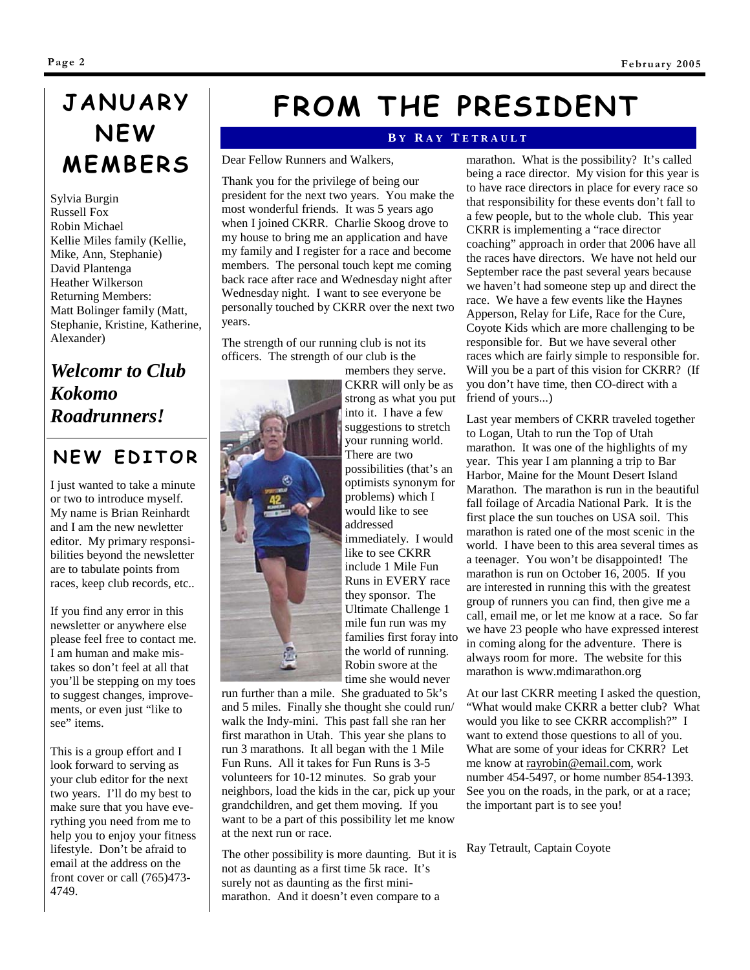# **JANUARY NEW MEMBERS**

Sylvia Burgin Russell Fox Robin Michael Kellie Miles family (Kellie, Mike, Ann, Stephanie) David Plantenga Heather Wilkerson Returning Members: Matt Bolinger family (Matt, Stephanie, Kristine, Katherine, Alexander)

### *Welcomr to Club Kokomo Roadrunners!*

### **NEW EDITOR**

I just wanted to take a minute or two to introduce myself. My name is Brian Reinhardt and I am the new newletter editor. My primary responsibilities beyond the newsletter are to tabulate points from races, keep club records, etc..

If you find any error in this newsletter or anywhere else please feel free to contact me. I am human and make mistakes so don't feel at all that you'll be stepping on my toes to suggest changes, improvements, or even just "like to see" items.

This is a group effort and I look forward to serving as your club editor for the next two years. I'll do my best to make sure that you have everything you need from me to help you to enjoy your fitness lifestyle. Don't be afraid to email at the address on the front cover or call (765)473- 4749.

# **FROM THE PRESIDENT**

#### **B Y R A Y T ETRAULT**

Dear Fellow Runners and Walkers,

Thank you for the privilege of being our president for the next two years. You make the most wonderful friends. It was 5 years ago when I joined CKRR. Charlie Skoog drove to my house to bring me an application and have my family and I register for a race and become members. The personal touch kept me coming back race after race and Wednesday night after Wednesday night. I want to see everyone be personally touched by CKRR over the next two years.

The strength of our running club is not its officers. The strength of our club is the



members they serve. CKRR will only be as strong as what you put into it. I have a few suggestions to stretch your running world. There are two possibilities (that's an optimists synonym for problems) which I would like to see addressed immediately. I would like to see CKRR include 1 Mile Fun Runs in EVERY race they sponsor. The Ultimate Challenge 1 mile fun run was my families first foray into the world of running. Robin swore at the time she would never

run further than a mile. She graduated to 5k's and 5 miles. Finally she thought she could run/ walk the Indy-mini. This past fall she ran her first marathon in Utah. This year she plans to run 3 marathons. It all began with the 1 Mile Fun Runs. All it takes for Fun Runs is 3-5 volunteers for 10-12 minutes. So grab your neighbors, load the kids in the car, pick up your grandchildren, and get them moving. If you want to be a part of this possibility let me know at the next run or race.

The other possibility is more daunting. But it is not as daunting as a first time 5k race. It's surely not as daunting as the first minimarathon. And it doesn't even compare to a

marathon. What is the possibility? It's called being a race director. My vision for this year is to have race directors in place for every race so that responsibility for these events don't fall to a few people, but to the whole club. This year CKRR is implementing a "race director coaching" approach in order that 2006 have all the races have directors. We have not held our September race the past several years because we haven't had someone step up and direct the race. We have a few events like the Haynes Apperson, Relay for Life, Race for the Cure, Coyote Kids which are more challenging to be responsible for. But we have several other races which are fairly simple to responsible for. Will you be a part of this vision for CKRR? (If you don't have time, then CO-direct with a friend of yours...)

Last year members of CKRR traveled together to Logan, Utah to run the Top of Utah marathon. It was one of the highlights of my year. This year I am planning a trip to Bar Harbor, Maine for the Mount Desert Island Marathon. The marathon is run in the beautiful fall foilage of Arcadia National Park. It is the first place the sun touches on USA soil. This marathon is rated one of the most scenic in the world. I have been to this area several times as a teenager. You won't be disappointed! The marathon is run on October 16, 2005. If you are interested in running this with the greatest group of runners you can find, then give me a call, email me, or let me know at a race. So far we have 23 people who have expressed interest in coming along for the adventure. There is always room for more. The website for this marathon is www.mdimarathon.org

At our last CKRR meeting I asked the question, "What would make CKRR a better club? What would you like to see CKRR accomplish?" I want to extend those questions to all of you. What are some of your ideas for CKRR? Let me know at rayrobin@email.com, work number 454-5497, or home number 854-1393. See you on the roads, in the park, or at a race; the important part is to see you!

Ray Tetrault, Captain Coyote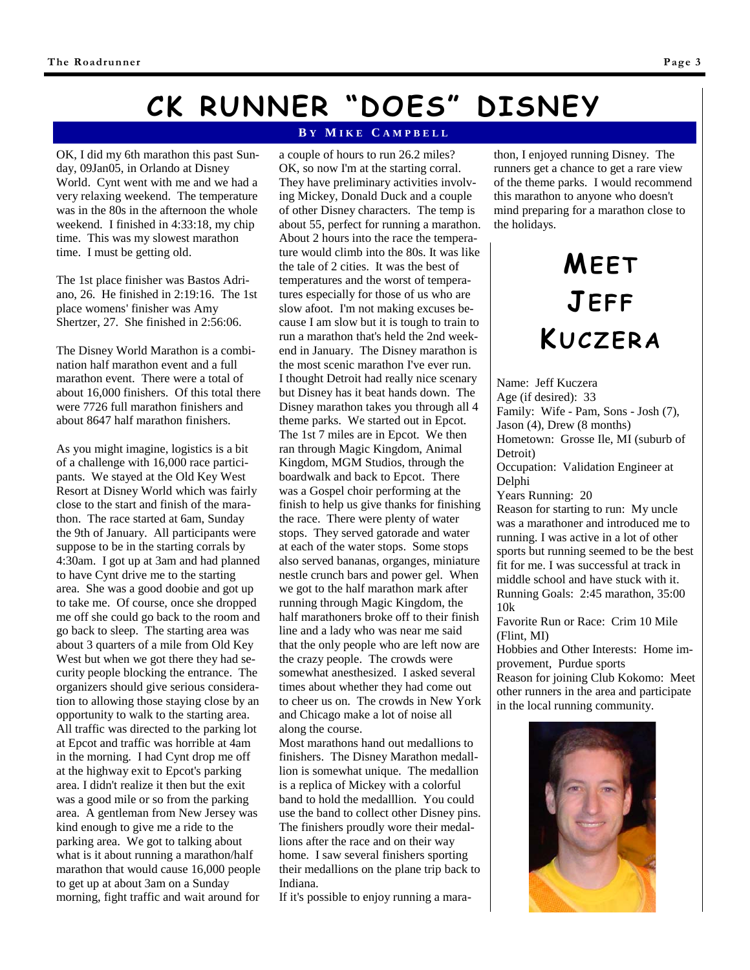# **CK RUNNER "DOES" DISNEY**

OK, I did my 6th marathon this past Sunday, 09Jan05, in Orlando at Disney World. Cynt went with me and we had a very relaxing weekend. The temperature was in the 80s in the afternoon the whole weekend. I finished in 4:33:18, my chip time. This was my slowest marathon time. I must be getting old.

The 1st place finisher was Bastos Adriano, 26. He finished in 2:19:16. The 1st place womens' finisher was Amy Shertzer, 27. She finished in 2:56:06.

The Disney World Marathon is a combination half marathon event and a full marathon event. There were a total of about 16,000 finishers. Of this total there were 7726 full marathon finishers and about 8647 half marathon finishers.

As you might imagine, logistics is a bit of a challenge with 16,000 race participants. We stayed at the Old Key West Resort at Disney World which was fairly close to the start and finish of the marathon. The race started at 6am, Sunday the 9th of January. All participants were suppose to be in the starting corrals by 4:30am. I got up at 3am and had planned to have Cynt drive me to the starting area. She was a good doobie and got up to take me. Of course, once she dropped me off she could go back to the room and go back to sleep. The starting area was about 3 quarters of a mile from Old Key West but when we got there they had security people blocking the entrance. The organizers should give serious consideration to allowing those staying close by an opportunity to walk to the starting area. All traffic was directed to the parking lot at Epcot and traffic was horrible at 4am in the morning. I had Cynt drop me off at the highway exit to Epcot's parking area. I didn't realize it then but the exit was a good mile or so from the parking area. A gentleman from New Jersey was kind enough to give me a ride to the parking area. We got to talking about what is it about running a marathon/half marathon that would cause 16,000 people to get up at about 3am on a Sunday morning, fight traffic and wait around for

#### **B Y M IKE C AMPBELL**

a couple of hours to run 26.2 miles? OK, so now I'm at the starting corral. They have preliminary activities involving Mickey, Donald Duck and a couple of other Disney characters. The temp is about 55, perfect for running a marathon. About 2 hours into the race the temperature would climb into the 80s. It was like the tale of 2 cities. It was the best of temperatures and the worst of temperatures especially for those of us who are slow afoot. I'm not making excuses because I am slow but it is tough to train to run a marathon that's held the 2nd weekend in January. The Disney marathon is the most scenic marathon I've ever run. I thought Detroit had really nice scenary but Disney has it beat hands down. The Disney marathon takes you through all 4 theme parks. We started out in Epcot. The 1st 7 miles are in Epcot. We then ran through Magic Kingdom, Animal Kingdom, MGM Studios, through the boardwalk and back to Epcot. There was a Gospel choir performing at the finish to help us give thanks for finishing the race. There were plenty of water stops. They served gatorade and water at each of the water stops. Some stops also served bananas, organges, miniature nestle crunch bars and power gel. When we got to the half marathon mark after running through Magic Kingdom, the half marathoners broke off to their finish line and a lady who was near me said that the only people who are left now are the crazy people. The crowds were somewhat anesthesized. I asked several times about whether they had come out to cheer us on. The crowds in New York and Chicago make a lot of noise all along the course.

Most marathons hand out medallions to finishers. The Disney Marathon medalllion is somewhat unique. The medallion is a replica of Mickey with a colorful band to hold the medalllion. You could use the band to collect other Disney pins. The finishers proudly wore their medallions after the race and on their way home. I saw several finishers sporting their medallions on the plane trip back to Indiana.

If it's possible to enjoy running a mara-

thon, I enjoyed running Disney. The runners get a chance to get a rare view of the theme parks. I would recommend this marathon to anyone who doesn't mind preparing for a marathon close to the holidays.

# **MEET JEFF KUCZERA**

Name: Jeff Kuczera Age (if desired): 33 Family: Wife - Pam, Sons - Josh (7), Jason (4), Drew (8 months) Hometown: Grosse Ile, MI (suburb of Detroit) Occupation: Validation Engineer at Delphi Years Running: 20 Reason for starting to run: My uncle was a marathoner and introduced me to running. I was active in a lot of other sports but running seemed to be the best fit for me. I was successful at track in middle school and have stuck with it.

Running Goals: 2:45 marathon, 35:00 10k

Favorite Run or Race: Crim 10 Mile (Flint, MI)

Hobbies and Other Interests: Home improvement, Purdue sports

Reason for joining Club Kokomo: Meet other runners in the area and participate in the local running community.

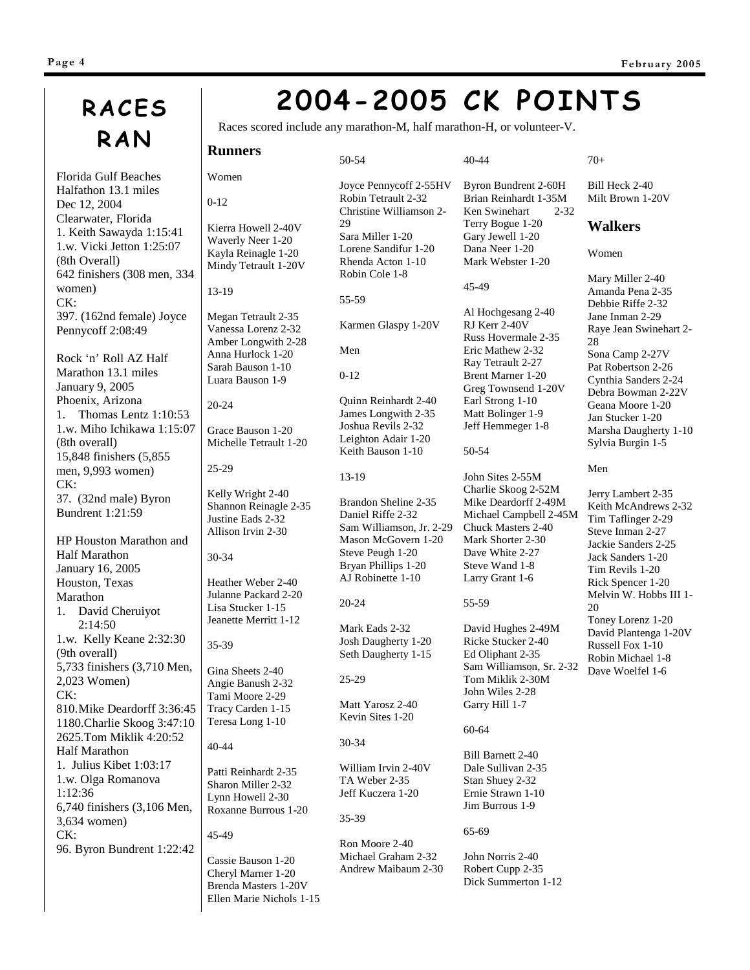# **RACES RAN Runners**

Florida Gulf Beaches Halfathon 13.1 miles Dec 12, 2004 Clearwater, Florida 1. Keith Sawayda 1:15:41 1.w. Vicki Jetton 1:25:07 (8th Overall) 642 finishers (308 men, 334 women) CK: 397. (162nd female) Joyce Pennycoff 2:08:49

Rock 'n' Roll AZ Half Marathon 13.1 miles January 9, 2005 Phoenix, Arizona 1. Thomas Lentz 1:10:53 1.w. Miho Ichikawa 1:15:07 (8th overall) 15,848 finishers (5,855 men, 9,993 women) CK: 37. (32nd male) Byron Bundrent 1:21:59

HP Houston Marathon and Half Marathon January 16, 2005 Houston, Texas Marathon 1. David Cheruiyot 2:14:50 1.w. Kelly Keane 2:32:30 (9th overall) 5,733 finishers (3,710 Men, 2,023 Women) CK: 810.Mike Deardorff 3:36:45 1180.Charlie Skoog 3:47:10 2625.Tom Miklik 4:20:52 Half Marathon 1. Julius Kibet 1:03:17 1.w. Olga Romanova 1:12:36 6,740 finishers (3,106 Men, 3,634 women) CK: 96. Byron Bundrent 1:22:42

# **2004-2005 CK POINTS**

40-44

45-49

50-54

John Sites 2-55M Charlie Skoog 2-52M Mike Deardorff 2-49M Michael Campbell 2-45M Chuck Masters 2-40 Mark Shorter 2-30 Dave White 2-27 Steve Wand 1-8 Larry Grant 1-6

Byron Bundrent 2-60H Brian Reinhardt 1-35M Ken Swinehart 2-32 Terry Bogue 1-20 Gary Jewell 1-20 Dana Neer 1-20 Mark Webster 1-20

Al Hochgesang 2-40 RJ Kerr 2-40V Russ Hovermale 2-35 Eric Mathew 2-32 Ray Tetrault 2-27 Brent Marner 1-20 Greg Townsend 1-20V Earl Strong 1-10 Matt Bolinger 1-9 Jeff Hemmeger 1-8

Races scored include any marathon-M, half marathon-H, or volunteer-V.

0-12 Kierra Howell 2-40V

Women

Waverly Neer 1-20 Kayla Reinagle 1-20 Mindy Tetrault 1-20V 13-19

20-24

Megan Tetrault 2-35 Vanessa Lorenz 2-32

Amber Longwith 2-28 Anna Hurlock 1-20 Sarah Bauson 1-10

Luara Bauson 1-9

Grace Bauson 1-20

Michelle Tetrault 1-20 25-29

Kelly Wright 2-40 Shannon Reinagle 2-35 Justine Eads 2-32 Allison Irvin 2-30

### 30-34

35-39

40-44

Heather Weber 2-40 Julanne Packard 2-20 Lisa Stucker 1-15 Jeanette Merritt 1-12

Gina Sheets 2-40

Angie Banush 2-32 Tami Moore 2-29 Tracy Carden 1-15 Teresa Long 1-10

Patti Reinhardt 2-35 Sharon Miller 2-32 Lynn Howell 2-30 Roxanne Burrous 1-20 45-49

Cassie Bauson 1-20 Cheryl Marner 1-20 Brenda Masters 1-20V Ellen Marie Nichols 1-15

Joyce Pennycoff 2-55HV Robin Tetrault 2-32 Christine Williamson 2- 29 Sara Miller 1-20 Lorene Sandifur 1-20 Rhenda Acton 1-10 Robin Cole 1-8

55-59

50-54

Karmen Glaspy 1-20V

Men

0-12

Quinn Reinhardt 2-40 James Longwith 2-35 Joshua Revils 2-32 Leighton Adair 1-20 Keith Bauson 1-10

#### 13-19

Brandon Sheline 2-35 Daniel Riffe 2-32 Sam Williamson, Jr. 2-29 Mason McGovern 1-20 Steve Peugh 1-20 Bryan Phillips 1-20 AJ Robinette 1-10

#### 55-59

Mark Eads 2-32 Josh Daugherty 1-20 Seth Daugherty 1-15

25-29

20-24

Matt Yarosz 2-40 Kevin Sites 1-20

#### 30-34

William Irvin 2-40V TA Weber 2-35 Jeff Kuczera 1-20

35-39

Ron Moore 2-40 Michael Graham 2-32 Andrew Maibaum 2-30 70+

Bill Heck 2-40 Milt Brown 1-20V

#### **Walkers**

Women

Mary Miller 2-40 Amanda Pena 2-35 Debbie Riffe 2-32 Jane Inman 2-29 Raye Jean Swinehart 2- 28 Sona Camp 2-27V Pat Robertson 2-26 Cynthia Sanders 2-24 Debra Bowman 2-22V Geana Moore 1-20 Jan Stucker 1-20 Marsha Daugherty 1-10 Sylvia Burgin 1-5

#### Men

Jerry Lambert 2-35 Keith McAndrews 2-32 Tim Taflinger 2-29 Steve Inman 2-27 Jackie Sanders 2-25 Jack Sanders 1-20 Tim Revils 1-20 Rick Spencer 1-20 Melvin W. Hobbs III 1- 20 Toney Lorenz 1-20 David Plantenga 1-20V Russell Fox 1-10 Robin Michael 1-8 Dave Woelfel 1-6

60-64 Bill Barnett 2-40 Dale Sullivan 2-35 Stan Shuey 2-32 Ernie Strawn 1-10

David Hughes 2-49M Ricke Stucker 2-40 Ed Oliphant 2-35 Sam Williamson, Sr. 2-32 Tom Miklik 2-30M John Wiles 2-28 Garry Hill 1-7

### Jim Burrous 1-9 65-69

John Norris 2-40 Robert Cupp 2-35 Dick Summerton 1-12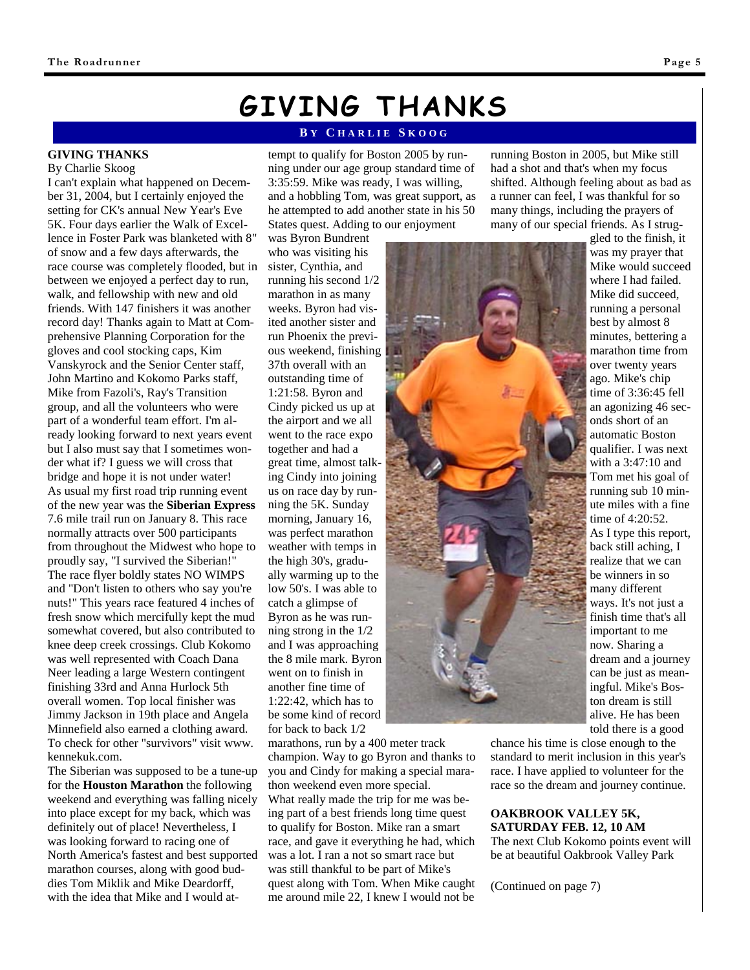**GIVING THANKS** By Charlie Skoog

I can't explain what happened on December 31, 2004, but I certainly enjoyed the setting for CK's annual New Year's Eve 5K. Four days earlier the Walk of Excellence in Foster Park was blanketed with 8" of snow and a few days afterwards, the race course was completely flooded, but in between we enjoyed a perfect day to run, walk, and fellowship with new and old friends. With 147 finishers it was another record day! Thanks again to Matt at Comprehensive Planning Corporation for the gloves and cool stocking caps, Kim Vanskyrock and the Senior Center staff, John Martino and Kokomo Parks staff, Mike from Fazoli's, Ray's Transition group, and all the volunteers who were part of a wonderful team effort. I'm already looking forward to next years event but I also must say that I sometimes wonder what if? I guess we will cross that bridge and hope it is not under water! As usual my first road trip running event of the new year was the **Siberian Express** 7.6 mile trail run on January 8. This race normally attracts over 500 participants from throughout the Midwest who hope to proudly say, "I survived the Siberian!" The race flyer boldly states NO WIMPS and "Don't listen to others who say you're nuts!" This years race featured 4 inches of fresh snow which mercifully kept the mud somewhat covered, but also contributed to knee deep creek crossings. Club Kokomo was well represented with Coach Dana Neer leading a large Western contingent finishing 33rd and Anna Hurlock 5th overall women. Top local finisher was Jimmy Jackson in 19th place and Angela Minnefield also earned a clothing award.

# **GIVING THANKS**

#### **B Y C HARLIE S KOOG**

tempt to qualify for Boston 2005 by running under our age group standard time of 3:35:59. Mike was ready, I was willing, and a hobbling Tom, was great support, as he attempted to add another state in his 50 States quest. Adding to our enjoyment

was Byron Bundrent who was visiting his sister, Cynthia, and running his second 1/2 marathon in as many weeks. Byron had visited another sister and run Phoenix the previous weekend, finishing 37th overall with an outstanding time of 1:21:58. Byron and Cindy picked us up at the airport and we all went to the race expo together and had a great time, almost talking Cindy into joining us on race day by running the 5K. Sunday morning, January 16, was perfect marathon weather with temps in the high 30's, gradually warming up to the low 50's. I was able to catch a glimpse of Byron as he was running strong in the 1/2 and I was approaching the 8 mile mark. Byron went on to finish in another fine time of 1:22:42, which has to be some kind of record for back to back 1/2

marathons, run by a 400 meter track champion. Way to go Byron and thanks to you and Cindy for making a special marathon weekend even more special. What really made the trip for me was being part of a best friends long time quest to qualify for Boston. Mike ran a smart race, and gave it everything he had, which was a lot. I ran a not so smart race but was still thankful to be part of Mike's quest along with Tom. When Mike caught me around mile 22, I knew I would not be

running Boston in 2005, but Mike still had a shot and that's when my focus shifted. Although feeling about as bad as a runner can feel, I was thankful for so many things, including the prayers of many of our special friends. As I strug-

> gled to the finish, it was my prayer that Mike would succeed where I had failed. Mike did succeed, running a personal best by almost 8 minutes, bettering a marathon time from over twenty years ago. Mike's chip time of 3:36:45 fell an agonizing 46 seconds short of an automatic Boston qualifier. I was next with a 3:47:10 and Tom met his goal of running sub 10 minute miles with a fine time of 4:20:52. As I type this report, back still aching, I realize that we can be winners in so many different ways. It's not just a told there is a good

chance his time is close enough to the standard to merit inclusion in this year's race. I have applied to volunteer for the race so the dream and journey continue.

### **OAKBROOK VALLEY 5K, SATURDAY FEB. 12, 10 AM**

The next Club Kokomo points event will be at beautiful Oakbrook Valley Park

(Continued on page 7)



finish time that's all important to me now. Sharing a dream and a journey can be just as meaningful. Mike's Boston dream is still alive. He has been

#### To check for other "survivors" visit www. kennekuk.com. The Siberian was supposed to be a tune-up for the **Houston Marathon** the following weekend and everything was falling nicely into place except for my back, which was definitely out of place! Nevertheless, I was looking forward to racing one of North America's fastest and best supported marathon courses, along with good buddies Tom Miklik and Mike Deardorff, with the idea that Mike and I would at-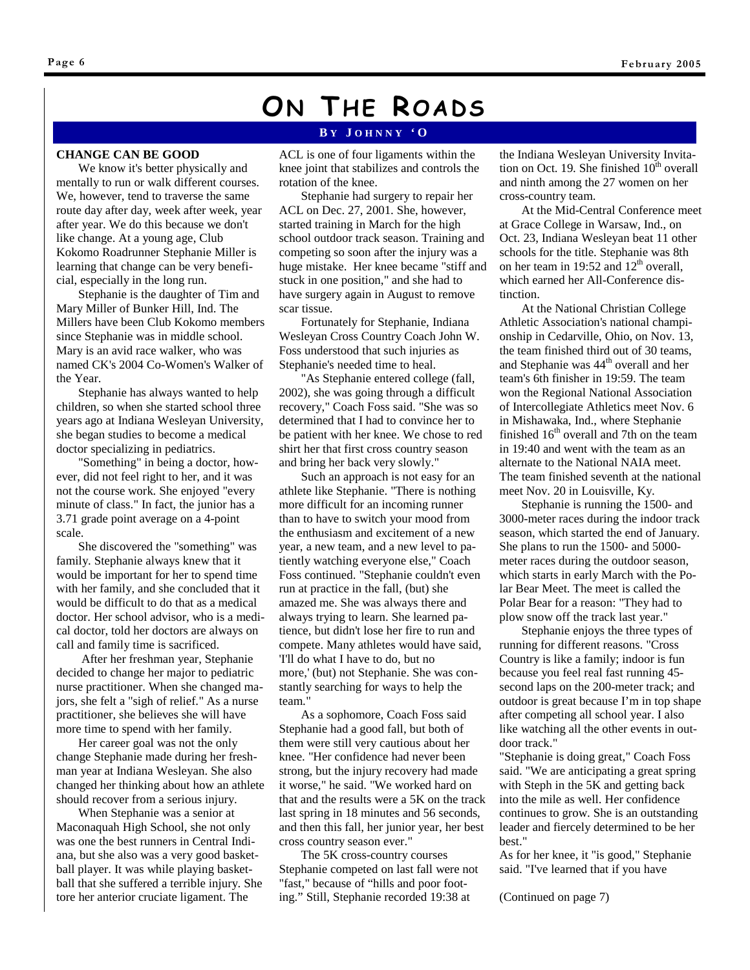# **ON THE ROADS**

#### **B Y J OHNNY 'O**

#### **CHANGE CAN BE GOOD**

We know it's better physically and mentally to run or walk different courses. We, however, tend to traverse the same route day after day, week after week, year after year. We do this because we don't like change. At a young age, Club Kokomo Roadrunner Stephanie Miller is learning that change can be very beneficial, especially in the long run.

Stephanie is the daughter of Tim and Mary Miller of Bunker Hill, Ind. The Millers have been Club Kokomo members since Stephanie was in middle school. Mary is an avid race walker, who was named CK's 2004 Co-Women's Walker of the Year.

Stephanie has always wanted to help children, so when she started school three years ago at Indiana Wesleyan University, she began studies to become a medical doctor specializing in pediatrics.

"Something" in being a doctor, however, did not feel right to her, and it was not the course work. She enjoyed "every minute of class." In fact, the junior has a 3.71 grade point average on a 4-point scale.

She discovered the "something" was family. Stephanie always knew that it would be important for her to spend time with her family, and she concluded that it would be difficult to do that as a medical doctor. Her school advisor, who is a medical doctor, told her doctors are always on call and family time is sacrificed.

 After her freshman year, Stephanie decided to change her major to pediatric nurse practitioner. When she changed majors, she felt a "sigh of relief." As a nurse practitioner, she believes she will have more time to spend with her family.

Her career goal was not the only change Stephanie made during her freshman year at Indiana Wesleyan. She also changed her thinking about how an athlete should recover from a serious injury.

When Stephanie was a senior at Maconaquah High School, she not only was one the best runners in Central Indiana, but she also was a very good basketball player. It was while playing basketball that she suffered a terrible injury. She tore her anterior cruciate ligament. The

ACL is one of four ligaments within the knee joint that stabilizes and controls the rotation of the knee.

Stephanie had surgery to repair her ACL on Dec. 27, 2001. She, however, started training in March for the high school outdoor track season. Training and competing so soon after the injury was a huge mistake. Her knee became "stiff and stuck in one position," and she had to have surgery again in August to remove scar tissue.

Fortunately for Stephanie, Indiana Wesleyan Cross Country Coach John W. Foss understood that such injuries as Stephanie's needed time to heal.

"As Stephanie entered college (fall, 2002), she was going through a difficult recovery," Coach Foss said. "She was so determined that I had to convince her to be patient with her knee. We chose to red shirt her that first cross country season and bring her back very slowly."

Such an approach is not easy for an athlete like Stephanie. "There is nothing more difficult for an incoming runner than to have to switch your mood from the enthusiasm and excitement of a new year, a new team, and a new level to patiently watching everyone else," Coach Foss continued. "Stephanie couldn't even run at practice in the fall, (but) she amazed me. She was always there and always trying to learn. She learned patience, but didn't lose her fire to run and compete. Many athletes would have said, 'I'll do what I have to do, but no more,' (but) not Stephanie. She was constantly searching for ways to help the team."

As a sophomore, Coach Foss said Stephanie had a good fall, but both of them were still very cautious about her knee. "Her confidence had never been strong, but the injury recovery had made it worse," he said. "We worked hard on that and the results were a 5K on the track last spring in 18 minutes and 56 seconds, and then this fall, her junior year, her best cross country season ever."

The 5K cross-country courses Stephanie competed on last fall were not "fast," because of "hills and poor footing." Still, Stephanie recorded 19:38 at

the Indiana Wesleyan University Invitation on Oct. 19. She finished  $10<sup>th</sup>$  overall and ninth among the 27 women on her cross-country team.

At the Mid-Central Conference meet at Grace College in Warsaw, Ind., on Oct. 23, Indiana Wesleyan beat 11 other schools for the title. Stephanie was 8th on her team in 19:52 and  $12<sup>th</sup>$  overall, which earned her All-Conference distinction.

At the National Christian College Athletic Association's national championship in Cedarville, Ohio, on Nov. 13, the team finished third out of 30 teams, and Stephanie was 44<sup>th</sup> overall and her team's 6th finisher in 19:59. The team won the Regional National Association of Intercollegiate Athletics meet Nov. 6 in Mishawaka, Ind., where Stephanie finished  $16<sup>th</sup>$  overall and 7th on the team in 19:40 and went with the team as an alternate to the National NAIA meet. The team finished seventh at the national meet Nov. 20 in Louisville, Ky.

Stephanie is running the 1500- and 3000-meter races during the indoor track season, which started the end of January. She plans to run the 1500- and 5000 meter races during the outdoor season, which starts in early March with the Polar Bear Meet. The meet is called the Polar Bear for a reason: "They had to plow snow off the track last year."

Stephanie enjoys the three types of running for different reasons. "Cross Country is like a family; indoor is fun because you feel real fast running 45 second laps on the 200-meter track; and outdoor is great because I'm in top shape after competing all school year. I also like watching all the other events in outdoor track."

"Stephanie is doing great," Coach Foss said. "We are anticipating a great spring with Steph in the 5K and getting back into the mile as well. Her confidence continues to grow. She is an outstanding leader and fiercely determined to be her best."

As for her knee, it "is good," Stephanie said. "I've learned that if you have

(Continued on page 7)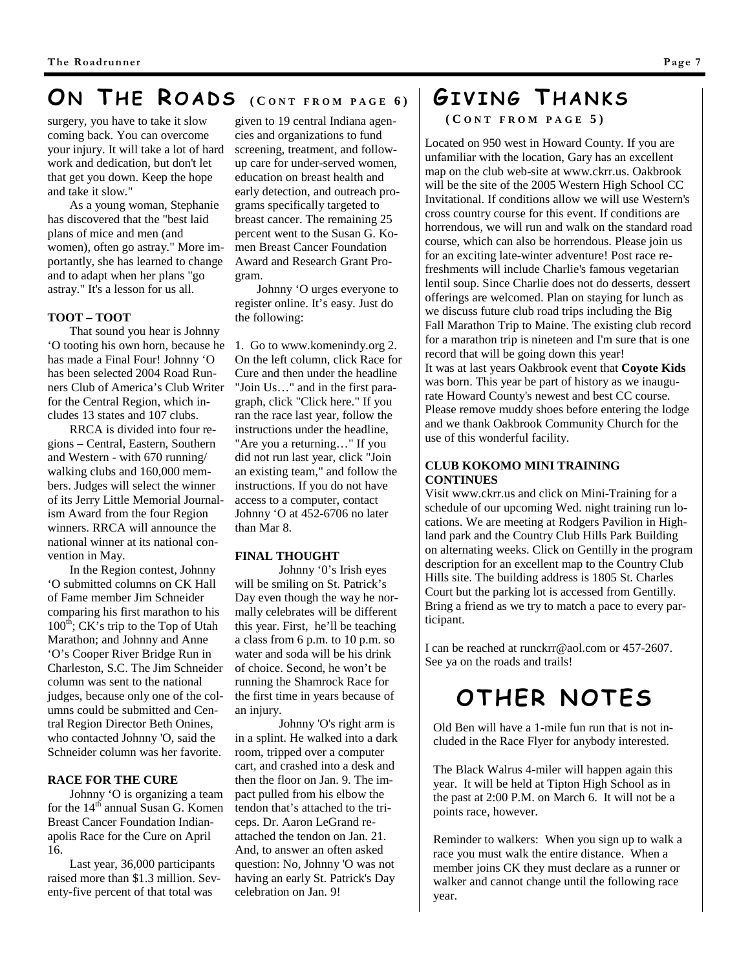## **O N T H E R OADS ( C ONT FROM PAGE 6)**

surgery, you have to take it slow coming back. You can overcome your injury. It will take a lot of hard work and dedication, but don't let that get you down. Keep the hope and take it slow."

As a young woman, Stephanie has discovered that the "best laid plans of mice and men (and women), often go astray." More importantly, she has learned to change and to adapt when her plans "go astray." It's a lesson for us all.

#### **TOOT – TOOT**

That sound you hear is Johnny 'O tooting his own horn, because he has made a Final Four! Johnny 'O has been selected 2004 Road Runners Club of America's Club Writer for the Central Region, which includes 13 states and 107 clubs.

RRCA is divided into four regions – Central, Eastern, Southern and Western - with 670 running/ walking clubs and 160,000 members. Judges will select the winner of its Jerry Little Memorial Journalism Award from the four Region winners. RRCA will announce the national winner at its national convention in May.

In the Region contest, Johnny 'O submitted columns on CK Hall of Fame member Jim Schneider comparing his first marathon to his  $100<sup>th</sup>$ ; CK's trip to the Top of Utah Marathon; and Johnny and Anne 'O's Cooper River Bridge Run in Charleston, S.C. The Jim Schneider column was sent to the national judges, because only one of the columns could be submitted and Central Region Director Beth Onines, who contacted Johnny 'O, said the Schneider column was her favorite.

#### **RACE FOR THE CURE**

Johnny 'O is organizing a team for the 14<sup>th</sup> annual Susan G. Komen Breast Cancer Foundation Indianapolis Race for the Cure on April 16.

Last year, 36,000 participants raised more than \$1.3 million. Seventy-five percent of that total was

given to 19 central Indiana agencies and organizations to fund screening, treatment, and followup care for under-served women, education on breast health and early detection, and outreach programs specifically targeted to breast cancer. The remaining 25 percent went to the Susan G. Komen Breast Cancer Foundation Award and Research Grant Program.

Johnny 'O urges everyone to register online. It's easy. Just do the following:

1. Go to www.komenindy.org 2. On the left column, click Race for Cure and then under the headline "Join Us…" and in the first paragraph, click "Click here." If you ran the race last year, follow the instructions under the headline, "Are you a returning…" If you did not run last year, click "Join an existing team," and follow the instructions. If you do not have access to a computer, contact Johnny 'O at 452-6706 no later than Mar 8.

#### **FINAL THOUGHT**

Johnny '0's Irish eyes will be smiling on St. Patrick's Day even though the way he normally celebrates will be different this year. First, he'll be teaching a class from 6 p.m. to 10 p.m. so water and soda will be his drink of choice. Second, he won't be running the Shamrock Race for the first time in years because of an injury.

Johnny 'O's right arm is in a splint. He walked into a dark room, tripped over a computer cart, and crashed into a desk and then the floor on Jan. 9. The impact pulled from his elbow the tendon that's attached to the triceps. Dr. Aaron LeGrand reattached the tendon on Jan. 21. And, to answer an often asked question: No, Johnny 'O was not having an early St. Patrick's Day celebration on Jan. 9!

## **GIVING T HANKS**

**( C ONT FROM PAGE 5)** 

Located on 950 west in Howard County. If you are unfamiliar with the location, Gary has an excellent map on the club web-site at www.ckrr.us. Oakbrook will be the site of the 2005 Western High School CC Invitational. If conditions allow we will use Western's cross country course for this event. If conditions are horrendous, we will run and walk on the standard road course, which can also be horrendous. Please join us for an exciting late-winter adventure! Post race refreshments will include Charlie's famous vegetarian lentil soup. Since Charlie does not do desserts, dessert offerings are welcomed. Plan on staying for lunch as we discuss future club road trips including the Big Fall Marathon Trip to Maine. The existing club record for a marathon trip is nineteen and I'm sure that is one record that will be going down this year! It was at last years Oakbrook event that **Coyote Kids** was born. This year be part of history as we inaugurate Howard County's newest and best CC course. Please remove muddy shoes before entering the lodge and we thank Oakbrook Community Church for the use of this wonderful facility.

#### **CLUB KOKOMO MINI TRAINING CONTINUES**

Visit www.ckrr.us and click on Mini-Training for a schedule of our upcoming Wed. night training run locations. We are meeting at Rodgers Pavilion in Highland park and the Country Club Hills Park Building on alternating weeks. Click on Gentilly in the program description for an excellent map to the Country Club Hills site. The building address is 1805 St. Charles Court but the parking lot is accessed from Gentilly. Bring a friend as we try to match a pace to every participant.

I can be reached at runckrr@aol.com or 457-2607. See ya on the roads and trails!

## **OTHER NOTES**

Old Ben will have a 1-mile fun run that is not included in the Race Flyer for anybody interested.

The Black Walrus 4-miler will happen again this year. It will be held at Tipton High School as in the past at 2:00 P.M. on March 6. It will not be a points race, however.

Reminder to walkers: When you sign up to walk a race you must walk the entire distance. When a member joins CK they must declare as a runner or walker and cannot change until the following race year.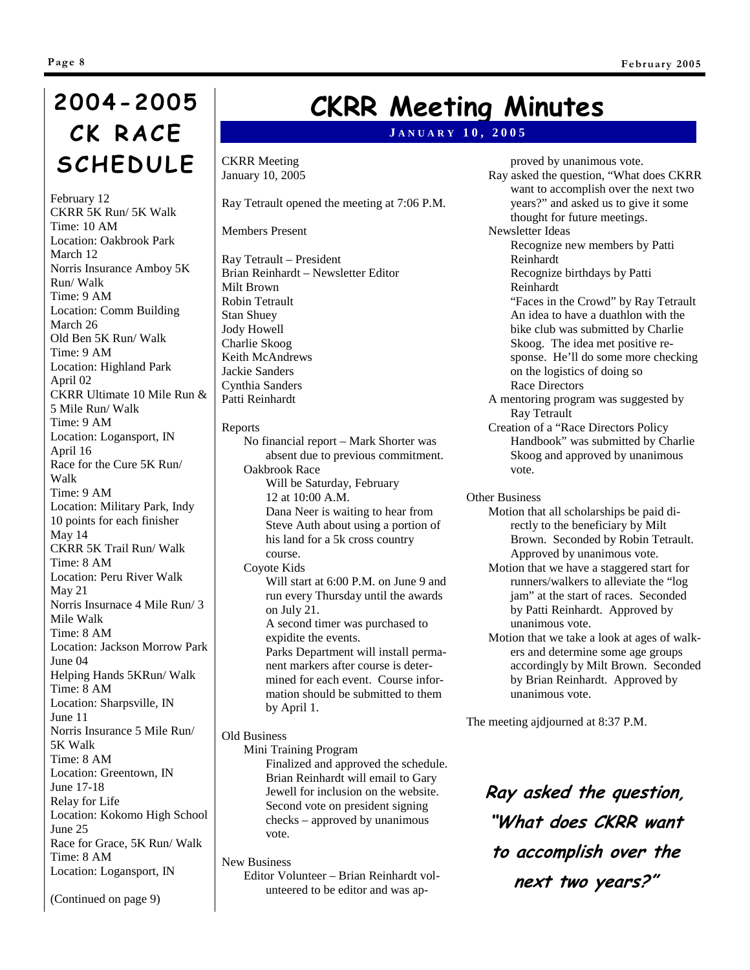# **2004-2005 CK RACE SCHEDULE**

February 12 CKRR 5K Run/ 5K Walk Time: 10 AM Location: Oakbrook Park March 12 Norris Insurance Amboy 5K Run/ Walk Time: 9 AM Location: Comm Building March 26 Old Ben 5K Run/ Walk Time: 9 AM Location: Highland Park April 02 CKRR Ultimate 10 Mile Run & 5 Mile Run/ Walk Time: 9 AM Location: Logansport, IN April 16 Race for the Cure 5K Run/ Walk Time: 9 AM Location: Military Park, Indy 10 points for each finisher May 14 CKRR 5K Trail Run/ Walk Time: 8 AM Location: Peru River Walk May 21 Norris Insurnace 4 Mile Run/ 3 Mile Walk Time: 8 AM Location: Jackson Morrow Park June 04 Helping Hands 5KRun/ Walk Time: 8 AM Location: Sharpsville, IN June 11 Norris Insurance 5 Mile Run/ 5K Walk Time: 8 AM Location: Greentown, IN June 17-18 Relay for Life Location: Kokomo High School June 25 Race for Grace, 5K Run/ Walk Time: 8 AM Location: Logansport, IN

# **CKRR Meeting Minutes**

#### **J ANUARY 10, 2005**

CKRR Meeting January 10, 2005

Ray Tetrault opened the meeting at 7:06 P.M.

Members Present

Ray Tetrault – President Brian Reinhardt – Newsletter Editor Milt Brown Robin Tetrault Stan Shuey Jody Howell Charlie Skoog Keith McAndrews Jackie Sanders Cynthia Sanders Patti Reinhardt

Reports

No financial report – Mark Shorter was absent due to previous commitment. Oakbrook Race Will be Saturday, February 12 at 10:00 A.M. Dana Neer is waiting to hear from Steve Auth about using a portion of his land for a 5k cross country course. Coyote Kids Will start at 6:00 P.M. on June 9 and run every Thursday until the awards on July 21. A second timer was purchased to expidite the events. Parks Department will install permanent markers after course is determined for each event. Course information should be submitted to them

Old Business

by April 1.

Mini Training Program Finalized and approved the schedule. Brian Reinhardt will email to Gary Jewell for inclusion on the website. Second vote on president signing checks – approved by unanimous vote.

New Business Editor Volunteer – Brian Reinhardt volunteered to be editor and was ap-

proved by unanimous vote. Ray asked the question, "What does CKRR want to accomplish over the next two years?" and asked us to give it some thought for future meetings. Newsletter Ideas Recognize new members by Patti Reinhardt Recognize birthdays by Patti Reinhardt "Faces in the Crowd" by Ray Tetrault An idea to have a duathlon with the bike club was submitted by Charlie Skoog. The idea met positive response. He'll do some more checking on the logistics of doing so Race Directors A mentoring program was suggested by Ray Tetrault

Creation of a "Race Directors Policy Handbook" was submitted by Charlie Skoog and approved by unanimous vote.

Other Business

- Motion that all scholarships be paid directly to the beneficiary by Milt Brown. Seconded by Robin Tetrault. Approved by unanimous vote.
- Motion that we have a staggered start for runners/walkers to alleviate the "log jam" at the start of races. Seconded by Patti Reinhardt. Approved by unanimous vote.
- Motion that we take a look at ages of walkers and determine some age groups accordingly by Milt Brown. Seconded by Brian Reinhardt. Approved by unanimous vote.

The meeting ajdjourned at 8:37 P.M.

**Ray asked the question, "What does CKRR want to accomplish over the next two years?"** 

(Continued on page 9)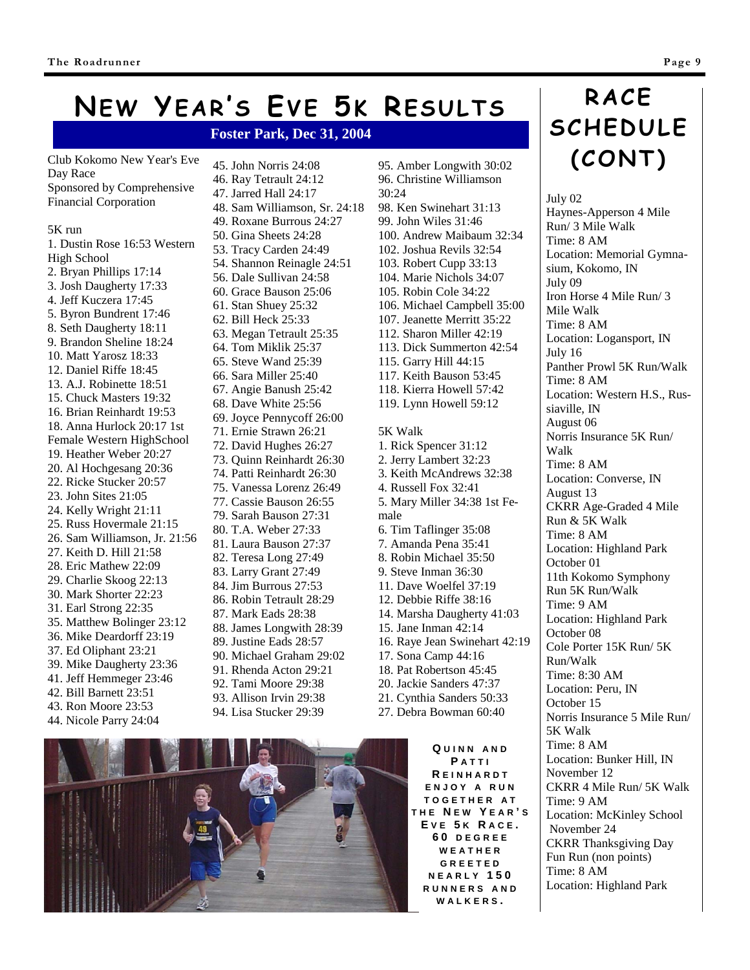# **NEW YEAR'S EVE 5K RESULTS**

#### **Foster Park, Dec 31, 2004**

Club Kokomo New Year's Eve Day Race Sponsored by Comprehensive Financial Corporation

#### 5K run

1. Dustin Rose 16:53 Western High School 2. Bryan Phillips 17:14 3. Josh Daugherty 17:33 4. Jeff Kuczera 17:45 5. Byron Bundrent 17:46 8. Seth Daugherty 18:11 9. Brandon Sheline 18:24 10. Matt Yarosz 18:33 12. Daniel Riffe 18:45 13. A.J. Robinette 18:51 15. Chuck Masters 19:32 16. Brian Reinhardt 19:53 18. Anna Hurlock 20:17 1st Female Western HighSchool 19. Heather Weber 20:27 20. Al Hochgesang 20:36 22. Ricke Stucker 20:57 23. John Sites 21:05 24. Kelly Wright 21:11 25. Russ Hovermale 21:15 26. Sam Williamson, Jr. 21:56 27. Keith D. Hill 21:58 28. Eric Mathew 22:09 29. Charlie Skoog 22:13 30. Mark Shorter 22:23 31. Earl Strong 22:35 35. Matthew Bolinger 23:12 36. Mike Deardorff 23:19 37. Ed Oliphant 23:21 39. Mike Daugherty 23:36 41. Jeff Hemmeger 23:46 42. Bill Barnett 23:51 43. Ron Moore 23:53 44. Nicole Parry 24:04

45. John Norris 24:08 46. Ray Tetrault 24:12 47. Jarred Hall 24:17 48. Sam Williamson, Sr. 24:18 49. Roxane Burrous 24:27 50. Gina Sheets 24:28 53. Tracy Carden 24:49 54. Shannon Reinagle 24:51 56. Dale Sullivan 24:58 60. Grace Bauson 25:06 61. Stan Shuey 25:32 62. Bill Heck 25:33 63. Megan Tetrault 25:35 64. Tom Miklik 25:37 65. Steve Wand 25:39 66. Sara Miller 25:40 67. Angie Banush 25:42 68. Dave White 25:56 69. Joyce Pennycoff 26:00 71. Ernie Strawn 26:21 72. David Hughes 26:27 73. Quinn Reinhardt 26:30 74. Patti Reinhardt 26:30 75. Vanessa Lorenz 26:49 77. Cassie Bauson 26:55 79. Sarah Bauson 27:31 80. T.A. Weber 27:33 81. Laura Bauson 27:37 82. Teresa Long 27:49 83. Larry Grant 27:49 84. Jim Burrous 27:53 86. Robin Tetrault 28:29 87. Mark Eads 28:38 88. James Longwith 28:39 89. Justine Eads 28:57 90. Michael Graham 29:02 91. Rhenda Acton 29:21 92. Tami Moore 29:38 93. Allison Irvin 29:38 94. Lisa Stucker 29:39

95. Amber Longwith 30:02 96. Christine Williamson 30:24 98. Ken Swinehart 31:13 99. John Wiles 31:46 100. Andrew Maibaum 32:34 102. Joshua Revils 32:54 103. Robert Cupp 33:13 104. Marie Nichols 34:07 105. Robin Cole 34:22 106. Michael Campbell 35:00 107. Jeanette Merritt 35:22 112. Sharon Miller 42:19 113. Dick Summerton 42:54 115. Garry Hill 44:15 117. Keith Bauson 53:45 118. Kierra Howell 57:42 119. Lynn Howell 59:12 5K Walk 1. Rick Spencer 31:12 2. Jerry Lambert 32:23 3. Keith McAndrews 32:38 4. Russell Fox 32:41 5. Mary Miller 34:38 1st Female 6. Tim Taflinger 35:08 7. Amanda Pena 35:41 8. Robin Michael 35:50 9. Steve Inman 36:30 11. Dave Woelfel 37:19 12. Debbie Riffe 38:16 14. Marsha Daugherty 41:03 15. Jane Inman 42:14 16. Raye Jean Swinehart 42:19 17. Sona Camp 44:16 18. Pat Robertson 45:45 20. Jackie Sanders 47:37 21. Cynthia Sanders 50:33 27. Debra Bowman 60:40

> **Q UINN AND P ATTI R EINHARDT ENJOY A RUN TOGETHER A T THE N E W Y EAR ' S E V E 5 K R ACE . 60 DEGREE WEATHER GREETED NEARLY 150 RUNNERS AND WALKERS .**

# **RACE SCHEDULE (CONT)**

July 02 Haynes-Apperson 4 Mile Run/ 3 Mile Walk Time: 8 AM Location: Memorial Gymnasium, Kokomo, IN July 09 Iron Horse 4 Mile Run/ 3 Mile Walk Time: 8 AM Location: Logansport, IN July 16 Panther Prowl 5K Run/Walk Time: 8 AM Location: Western H.S., Russiaville, IN August 06 Norris Insurance 5K Run/ Walk Time: 8 AM Location: Converse, IN August 13 CKRR Age-Graded 4 Mile Run & 5K Walk Time: 8 AM Location: Highland Park October 01 11th Kokomo Symphony Run 5K Run/Walk Time: 9 AM Location: Highland Park October 08 Cole Porter 15K Run/ 5K Run/Walk Time: 8:30 AM Location: Peru, IN October 15 Norris Insurance 5 Mile Run/ 5K Walk Time: 8 AM Location: Bunker Hill, IN November 12 CKRR 4 Mile Run/ 5K Walk Time: 9 AM Location: McKinley School November 24 CKRR Thanksgiving Day Fun Run (non points) Time: 8 AM Location: Highland Park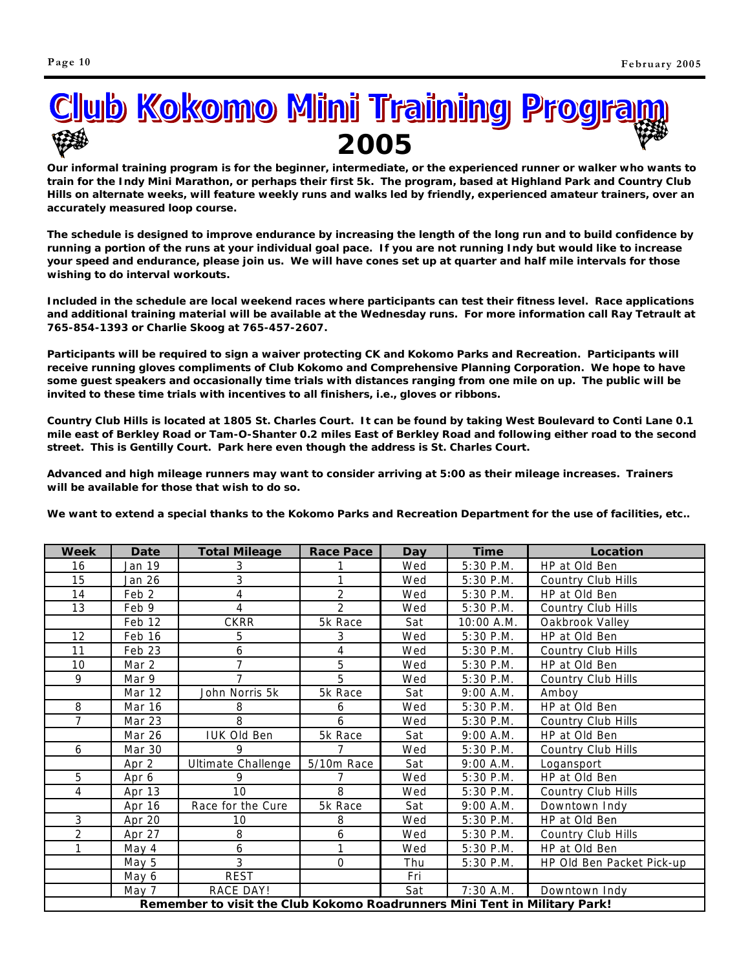

**Our informal training program is for the beginner, intermediate, or the experienced runner or walker who wants to train for the Indy Mini Marathon, or perhaps their first 5k. The program, based at Highland Park and Country Club Hills on alternate weeks, will feature weekly runs and walks led by friendly, experienced amateur trainers, over an accurately measured loop course.**

**The schedule is designed to improve endurance by increasing the length of the long run and to build confidence by running a portion of the runs at your individual goal pace. If you are not running Indy but would like to increase your speed and endurance, please join us. We will have cones set up at quarter and half mile intervals for those wishing to do interval workouts.**

**Included in the schedule are local weekend races where participants can test their fitness level. Race applications and additional training material will be available at the Wednesday runs. For more information call Ray Tetrault at 765-854-1393 or Charlie Skoog at 765-457-2607.**

**Participants will be required to sign a waiver protecting CK and Kokomo Parks and Recreation. Participants will receive running gloves compliments of Club Kokomo and Comprehensive Planning Corporation. We hope to have some guest speakers and occasionally time trials with distances ranging from one mile on up. The public will be invited to these time trials with incentives to all finishers, i.e., gloves or ribbons.**

**Country Club Hills is located at 1805 St. Charles Court. It can be found by taking West Boulevard to Conti Lane 0.1 mile east of Berkley Road or Tam-O-Shanter 0.2 miles East of Berkley Road and following either road to the second street. This is Gentilly Court. Park here even though the address is St. Charles Court.**

**Advanced and high mileage runners may want to consider arriving at 5:00 as their mileage increases. Trainers will be available for those that wish to do so.**

**We want to extend a special thanks to the Kokomo Parks and Recreation Department for the use of facilities, etc..**

| Week                                                                      | Date          | <b>Total Mileage</b> | <b>Race Pace</b> | <b>Day</b> | <b>Time</b> | Location                  |  |
|---------------------------------------------------------------------------|---------------|----------------------|------------------|------------|-------------|---------------------------|--|
| 16                                                                        | Jan 19        | 3                    |                  | Wed        | 5:30 P.M.   | HP at Old Ben             |  |
| 15                                                                        | Jan 26        | 3                    |                  | Wed        | 5:30 P.M.   | <b>Country Club Hills</b> |  |
| 14                                                                        | Feb 2         | 4                    | $\overline{2}$   | Wed        | 5:30 P.M.   | HP at Old Ben             |  |
| 13                                                                        | Feb 9         | 4                    | $\overline{2}$   | Wed        | $5:30$ P.M. | Country Club Hills        |  |
|                                                                           | Feb 12        | <b>CKRR</b>          | 5k Race          | Sat        | 10:00 A.M.  | Oakbrook Valley           |  |
| 12                                                                        | Feb 16        | 5                    | 3                | Wed        | 5:30 P.M.   | HP at Old Ben             |  |
| 11                                                                        | Feb 23        | 6                    | 4                | Wed        | $5:30$ P.M. | <b>Country Club Hills</b> |  |
| 10                                                                        | Mar 2         | $\overline{7}$       | 5                | Wed        | 5:30 P.M.   | HP at Old Ben             |  |
| 9                                                                         | Mar 9         | 7                    | 5                | Wed        | 5:30 P.M.   | <b>Country Club Hills</b> |  |
|                                                                           | Mar 12        | John Norris 5k       | 5k Race          | Sat        | 9:00 A.M.   | Amboy                     |  |
| 8                                                                         | Mar 16        | 8                    | 6                | Wed        | 5:30 P.M.   | HP at Old Ben             |  |
| $\overline{7}$                                                            | Mar 23        | 8                    | 6                | Wed        | 5:30 P.M.   | Country Club Hills        |  |
|                                                                           | Mar 26        | <b>IUK Old Ben</b>   | 5k Race          | Sat        | 9:00 A.M.   | HP at Old Ben             |  |
| 6                                                                         | <b>Mar 30</b> | 9                    | 7                | Wed        | 5:30 P.M.   | <b>Country Club Hills</b> |  |
|                                                                           | Apr 2         | Ultimate Challenge   | 5/10m Race       | Sat        | 9:00 A.M.   | Logansport                |  |
| 5                                                                         | Apr 6         | 9                    |                  | Wed        | 5:30 P.M.   | HP at Old Ben             |  |
| $\overline{4}$                                                            | Apr 13        | 10                   | 8                | Wed        | 5:30 P.M.   | Country Club Hills        |  |
|                                                                           | Apr 16        | Race for the Cure    | 5k Race          | Sat        | 9:00 A.M.   | Downtown Indy             |  |
| 3                                                                         | Apr 20        | 10                   | 8                | Wed        | 5:30 P.M.   | HP at Old Ben             |  |
| $\overline{2}$                                                            | Apr 27        | 8                    | 6                | Wed        | $5:30$ P.M. | <b>Country Club Hills</b> |  |
| $\mathbf{1}$                                                              | May 4         | 6                    |                  | Wed        | 5:30 P.M.   | HP at Old Ben             |  |
|                                                                           | May 5         | 3                    | $\Omega$         | Thu        | $5:30$ P.M. | HP Old Ben Packet Pick-up |  |
|                                                                           | May 6         | <b>REST</b>          |                  | Fri        |             |                           |  |
|                                                                           | May 7         | RACE DAY!            |                  | Sat        | 7:30 A.M.   | Downtown Indy             |  |
| Remember to visit the Club Kokomo Roadrunners Mini Tent in Military Park! |               |                      |                  |            |             |                           |  |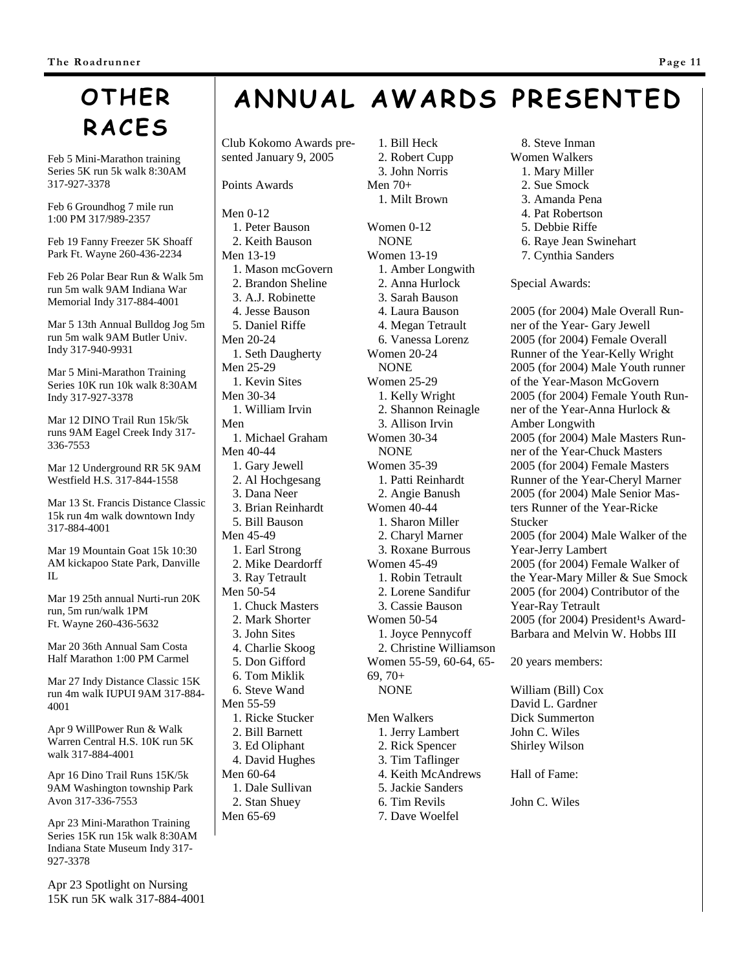# **OTHER RACES**

Feb 5 Mini-Marathon training Series 5K run 5k walk 8:30AM 317-927-3378

Feb 6 Groundhog 7 mile run 1:00 PM 317/989-2357

Feb 19 Fanny Freezer 5K Shoaff Park Ft. Wayne 260-436-2234

Feb 26 Polar Bear Run & Walk 5m run 5m walk 9AM Indiana War Memorial Indy 317-884-4001

Mar 5 13th Annual Bulldog Jog 5m run 5m walk 9AM Butler Univ. Indy 317-940-9931

Mar 5 Mini-Marathon Training Series 10K run 10k walk 8:30AM Indy 317-927-3378

Mar 12 DINO Trail Run 15k/5k runs 9AM Eagel Creek Indy 317- 336-7553

Mar 12 Underground RR 5K 9AM Westfield H.S. 317-844-1558

Mar 13 St. Francis Distance Classic 15k run 4m walk downtown Indy 317-884-4001

Mar 19 Mountain Goat 15k 10:30 AM kickapoo State Park, Danville  $\Pi$ .

Mar 19 25th annual Nurti-run 20K run, 5m run/walk 1PM Ft. Wayne 260-436-5632

Mar 20 36th Annual Sam Costa Half Marathon 1:00 PM Carmel

Mar 27 Indy Distance Classic 15K run 4m walk IUPUI 9AM 317-884- 4001

Apr 9 WillPower Run & Walk Warren Central H.S. 10K run 5K walk 317-884-4001

Apr 16 Dino Trail Runs 15K/5k 9AM Washington township Park Avon 317-336-7553

Apr 23 Mini-Marathon Training Series 15K run 15k walk 8:30AM Indiana State Museum Indy 317- 927-3378

Apr 23 Spotlight on Nursing 15K run 5K walk 317-884-4001

# **ANNUAL AWARDS PRESENTED**

Club Kokomo Awards presented January 9, 2005

Points Awards

Men 0-12 1. Peter Bauson 2. Keith Bauson Men 13-19 1. Mason mcGovern 2. Brandon Sheline 3. A.J. Robinette 4. Jesse Bauson 5. Daniel Riffe Men 20-24 1. Seth Daugherty Men 25-29 1. Kevin Sites Men 30-34 1. William Irvin Men 1. Michael Graham Men 40-44 1. Gary Jewell 2. Al Hochgesang 3. Dana Neer 3. Brian Reinhardt 5. Bill Bauson Men 45-49 1. Earl Strong 2. Mike Deardorff 3. Ray Tetrault Men 50-54 1. Chuck Masters 2. Mark Shorter 3. John Sites 4. Charlie Skoog 5. Don Gifford 6. Tom Miklik 6. Steve Wand Men 55-59 1. Ricke Stucker 2. Bill Barnett 3. Ed Oliphant 4. David Hughes Men 60-64 1. Dale Sullivan 2. Stan Shuey Men 65-69

1. Bill Heck 2. Robert Cupp 3. John Norris Men 70+ 1. Milt Brown

Women 0-12 **NONE** Women 13-19 1. Amber Longwith 2. Anna Hurlock 3. Sarah Bauson 4. Laura Bauson 4. Megan Tetrault 6. Vanessa Lorenz Women 20-24 NONE Women 25-29 1. Kelly Wright 2. Shannon Reinagle 3. Allison Irvin Women 30-34 **NONE** Women 35-39 1. Patti Reinhardt 2. Angie Banush Women 40-44 1. Sharon Miller 2. Charyl Marner 3. Roxane Burrous Women 45-49 1. Robin Tetrault 2. Lorene Sandifur 3. Cassie Bauson Women 50-54 1. Joyce Pennycoff 2. Christine Williamson Women 55-59, 60-64, 65- 69, 70+ NONE Men Walkers 1. Jerry Lambert

- 2. Rick Spencer 3. Tim Taflinger 4. Keith McAndrews 5. Jackie Sanders 6. Tim Revils
- 7. Dave Woelfel
- 8. Steve Inman Women Walkers 1. Mary Miller
	- 2. Sue Smock
- 3. Amanda Pena
	- 4. Pat Robertson
	- 5. Debbie Riffe
	- 6. Raye Jean Swinehart
	- 7. Cynthia Sanders

Special Awards:

2005 (for 2004) Male Overall Runner of the Year- Gary Jewell 2005 (for 2004) Female Overall Runner of the Year-Kelly Wright 2005 (for 2004) Male Youth runner of the Year-Mason McGovern 2005 (for 2004) Female Youth Runner of the Year-Anna Hurlock & Amber Longwith 2005 (for 2004) Male Masters Runner of the Year-Chuck Masters 2005 (for 2004) Female Masters Runner of the Year-Cheryl Marner 2005 (for 2004) Male Senior Masters Runner of the Year-Ricke Stucker 2005 (for 2004) Male Walker of the Year-Jerry Lambert 2005 (for 2004) Female Walker of the Year-Mary Miller & Sue Smock 2005 (for 2004) Contributor of the Year-Ray Tetrault 2005 (for 2004) President<sup>1</sup>s Award-Barbara and Melvin W. Hobbs III

20 years members:

William (Bill) Cox David L. Gardner Dick Summerton John C. Wiles Shirley Wilson

Hall of Fame:

John C. Wiles